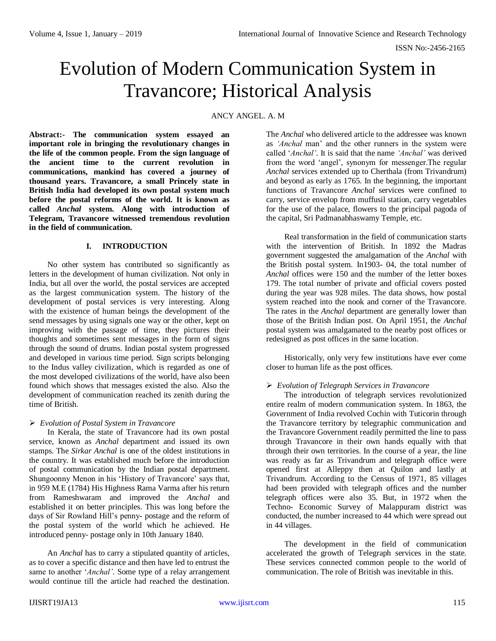# Evolution of Modern Communication System in Travancore; Historical Analysis

ANCY ANGEL. A. M

**Abstract:- The communication system essayed an important role in bringing the revolutionary changes in the life of the common people. From the sign language of the ancient time to the current revolution in communications, mankind has covered a journey of thousand years. Travancore, a small Princely state in British India had developed its own postal system much before the postal reforms of the world. It is known as called** *Anchal* **system. Along with introduction of Telegram, Travancore witnessed tremendous revolution in the field of communication.**

## **I. INTRODUCTION**

No other system has contributed so significantly as letters in the development of human civilization. Not only in India, but all over the world, the postal services are accepted as the largest communication system. The history of the development of postal services is very interesting. Along with the existence of human beings the development of the send messages by using signals one way or the other, kept on improving with the passage of time, they pictures their thoughts and sometimes sent messages in the form of signs through the sound of drums. Indian postal system progressed and developed in various time period. Sign scripts belonging to the Indus valley civilization, which is regarded as one of the most developed civilizations of the world, have also been found which shows that messages existed the also. Also the development of communication reached its zenith during the time of British.

## *Evolution of Postal System in Travancore*

In Kerala, the state of Travancore had its own postal service, known as *Anchal* department and issued its own stamps. The *Sirkar Anchal* is one of the oldest institutions in the country. It was established much before the introduction of postal communication by the Indian postal department. Shungoonny Menon in his 'History of Travancore' says that, in 959 M.E (1784) His Highness Rama Varma after his return from Rameshwaram and improved the *Anchal* and established it on better principles. This was long before the days of Sir Rowland Hill's penny- postage and the reform of the postal system of the world which he achieved. He introduced penny- postage only in 10th January 1840.

An *Anchal* has to carry a stipulated quantity of articles, as to cover a specific distance and then have led to entrust the same to another '*Anchal'*. Some type of a relay arrangement would continue till the article had reached the destination. The *Anchal* who delivered article to the addressee was known as *'Anchal* man' and the other runners in the system were called '*Anchal'*. It is said that the name *'Anchal'* was derived from the word 'angel', synonym for messenger.The regular *Anchal* services extended up to Cherthala (from Trivandrum) and beyond as early as 1765. In the beginning, the important functions of Travancore *Anchal* services were confined to carry, service envelop from muffusil station, carry vegetables for the use of the palace, flowers to the principal pagoda of the capital, Sri Padmanabhaswamy Temple, etc.

Real transformation in the field of communication starts with the intervention of British. In 1892 the Madras government suggested the amalgamation of the *Anchal* with the British postal system. In1903- 04, the total number of *Anchal* offices were 150 and the number of the letter boxes 179. The total number of private and official covers posted during the year was 928 miles. The data shows, how postal system reached into the nook and corner of the Travancore. The rates in the *Anchal* department are generally lower than those of the British Indian post. On April 1951, the *Anchal*  postal system was amalgamated to the nearby post offices or redesigned as post offices in the same location.

Historically, only very few institutions have ever come closer to human life as the post offices.

## *Evolution of Telegraph Services in Travancore*

The introduction of telegraph services revolutionized entire realm of modern communication system. In 1863, the Government of India revolved Cochin with Tuticorin through the Travancore territory by telegraphic communication and the Travancore Government readily permitted the line to pass through Travancore in their own hands equally with that through their own territories. In the course of a year, the line was ready as far as Trivandrum and telegraph office were opened first at Alleppy then at Quilon and lastly at Trivandrum. According to the Census of 1971, 85 villages had been provided with telegraph offices and the number telegraph offices were also 35. But, in 1972 when the Techno- Economic Survey of Malappuram district was conducted, the number increased to 44 which were spread out in 44 villages.

The development in the field of communication accelerated the growth of Telegraph services in the state. These services connected common people to the world of communication. The role of British was inevitable in this.